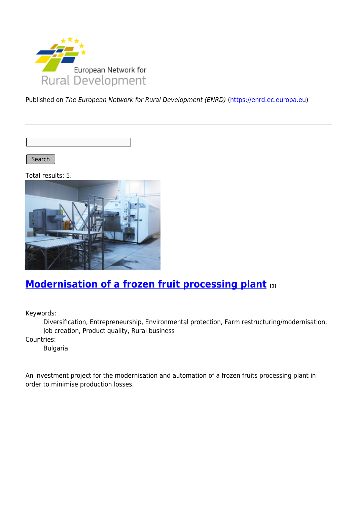

Published on The European Network for Rural Development (ENRD) [\(https://enrd.ec.europa.eu](https://enrd.ec.europa.eu))

Search |

Total results: 5.



# **[Modernisation of a frozen fruit processing plant](https://enrd.ec.europa.eu/projects-practice/modernisation-frozen-fruit-processing-plant_en) [1]**

Keywords:

Diversification, Entrepreneurship, Environmental protection, Farm restructuring/modernisation, Job creation, Product quality, Rural business

Countries:

Bulgaria

An investment project for the modernisation and automation of a frozen fruits processing plant in order to minimise production losses.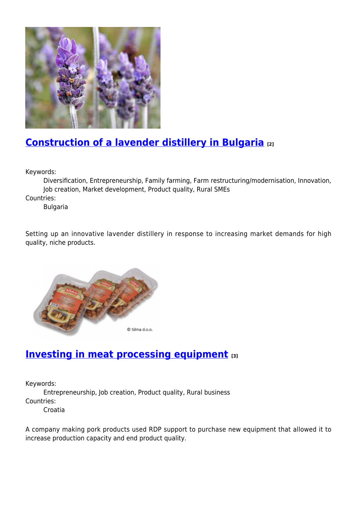

## **[Construction of a lavender distillery in Bulgaria](https://enrd.ec.europa.eu/projects-practice/construction-lavender-distillery-bulgaria_en) [2]**

Keywords:

Diversification, Entrepreneurship, Family farming, Farm restructuring/modernisation, Innovation, Job creation, Market development, Product quality, Rural SMEs

Countries:

Bulgaria

Setting up an innovative lavender distillery in response to increasing market demands for high quality, niche products.



# **[Investing in meat processing equipment](https://enrd.ec.europa.eu/projects-practice/investing-meat-processing-equipment_en) [3]**

Keywords:

Entrepreneurship, Job creation, Product quality, Rural business Countries:

Croatia

A company making pork products used RDP support to purchase new equipment that allowed it to increase production capacity and end product quality.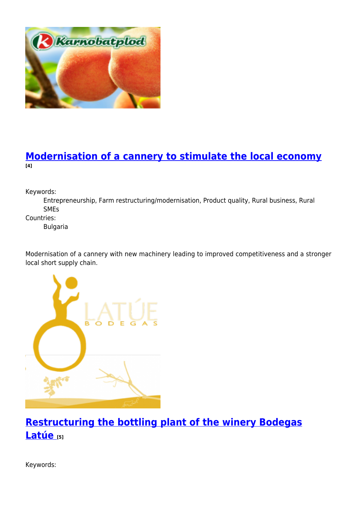

### **[Modernisation of a cannery to stimulate the local economy](https://enrd.ec.europa.eu/projects-practice/modernisation-cannery-stimulate-local-economy_en) [4]**

Keywords:

Entrepreneurship, Farm restructuring/modernisation, Product quality, Rural business, Rural SMEs

Countries:

Bulgaria

Modernisation of a cannery with new machinery leading to improved competitiveness and a stronger local short supply chain.



**[Restructuring the bottling plant of the winery Bodegas](https://enrd.ec.europa.eu/projects-practice/restructuring-bottling-plant-winery-bodegas-latue_en) [Latúe](https://enrd.ec.europa.eu/projects-practice/restructuring-bottling-plant-winery-bodegas-latue_en) [5]**

Keywords: